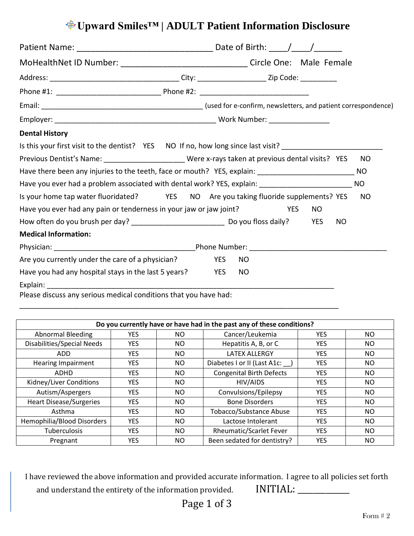# **Upward Smiles™ | ADULT Patient Information Disclosure**

| MoHealthNet ID Number: ___________________________________Circle One: Male Female                                                                                                                                                 |  |            |           |            |     |           |           |
|-----------------------------------------------------------------------------------------------------------------------------------------------------------------------------------------------------------------------------------|--|------------|-----------|------------|-----|-----------|-----------|
|                                                                                                                                                                                                                                   |  |            |           |            |     |           |           |
|                                                                                                                                                                                                                                   |  |            |           |            |     |           |           |
|                                                                                                                                                                                                                                   |  |            |           |            |     |           |           |
|                                                                                                                                                                                                                                   |  |            |           |            |     |           |           |
| <b>Dental History</b>                                                                                                                                                                                                             |  |            |           |            |     |           |           |
| Is this your first visit to the dentist? YES NO If no, how long since last visit? ________________________                                                                                                                        |  |            |           |            |     |           |           |
| Previous Dentist's Name: ________________________Were x-rays taken at previous dental visits? YES                                                                                                                                 |  |            |           |            |     |           | NO.       |
| Have there been any injuries to the teeth, face or mouth? YES, explain: _______________________________NO                                                                                                                         |  |            |           |            |     |           |           |
| Have you ever had a problem associated with dental work? YES, explain: ____________________________                                                                                                                               |  |            |           |            |     |           | <b>NO</b> |
| Is your home tap water fluoridated? YES NO Are you taking fluoride supplements? YES                                                                                                                                               |  |            |           |            |     |           | NO.       |
| Have you ever had any pain or tenderness in your jaw or jaw joint?                                                                                                                                                                |  |            |           | <b>YES</b> | NO. |           |           |
|                                                                                                                                                                                                                                   |  |            |           |            |     | <b>NO</b> |           |
| <b>Medical Information:</b>                                                                                                                                                                                                       |  |            |           |            |     |           |           |
|                                                                                                                                                                                                                                   |  |            |           |            |     |           |           |
| Are you currently under the care of a physician?                                                                                                                                                                                  |  | <b>YES</b> | <b>NO</b> |            |     |           |           |
| Have you had any hospital stays in the last 5 years?                                                                                                                                                                              |  | <b>YES</b> | NO        |            |     |           |           |
| $\mathbf{r}$ , and the contract of the contract of the contract of the contract of the contract of the contract of the contract of the contract of the contract of the contract of the contract of the contract of the contract o |  |            |           |            |     |           |           |

Please discuss any serious medical conditions that you have had:

| Do you currently have or have had in the past any of these conditions? |            |     |                                 |            |     |  |  |  |  |
|------------------------------------------------------------------------|------------|-----|---------------------------------|------------|-----|--|--|--|--|
| <b>Abnormal Bleeding</b>                                               | YES        | NO. | Cancer/Leukemia                 | <b>YES</b> | NO. |  |  |  |  |
| Disabilities/Special Needs                                             | <b>YES</b> | NO. | Hepatitis A, B, or C            | YES.       | NO. |  |  |  |  |
| ADD.                                                                   | <b>YES</b> | NO. | <b>LATEX ALLERGY</b>            | <b>YES</b> | NO. |  |  |  |  |
| <b>Hearing Impairment</b>                                              | YES        | NO. | Diabetes I or II (Last A1c:     | YES        | NO. |  |  |  |  |
| <b>ADHD</b>                                                            | <b>YES</b> | NO. | <b>Congenital Birth Defects</b> | <b>YES</b> | NO. |  |  |  |  |
| Kidney/Liver Conditions                                                | <b>YES</b> | NO. | HIV/AIDS                        | YES        | NO. |  |  |  |  |
| Autism/Aspergers                                                       | <b>YES</b> | NO. | Convulsions/Epilepsy            | <b>YES</b> | NO. |  |  |  |  |
| <b>Heart Disease/Surgeries</b>                                         | YES.       | NO. | <b>Bone Disorders</b>           | <b>YES</b> | NO. |  |  |  |  |
| Asthma                                                                 | <b>YES</b> | NO. | <b>Tobacco/Substance Abuse</b>  | <b>YES</b> | NO. |  |  |  |  |
| <b>Hemophilia/Blood Disorders</b>                                      | <b>YES</b> | NO. | Lactose Intolerant              | <b>YES</b> | NO. |  |  |  |  |
| Tuberculosis                                                           | <b>YES</b> | NO. | <b>Rheumatic/Scarlet Fever</b>  | <b>YES</b> | NO. |  |  |  |  |
| Pregnant                                                               | <b>YES</b> | NO. | Been sedated for dentistry?     | <b>YES</b> | NO. |  |  |  |  |

\_\_\_\_\_\_\_\_\_\_\_\_\_\_\_\_\_\_\_\_\_\_\_\_\_\_\_\_\_\_\_\_\_\_\_\_\_\_\_\_\_\_\_\_\_\_\_\_\_\_\_\_\_\_\_\_\_\_\_\_\_\_\_\_\_\_\_\_\_\_\_\_\_\_\_\_\_\_\_

I have reviewed the above information and provided accurate information. I agree to all policies set forth and understand the entirety of the information provided. INITIAL: \_\_\_\_\_\_\_\_\_\_\_\_\_\_

Page 1 of 3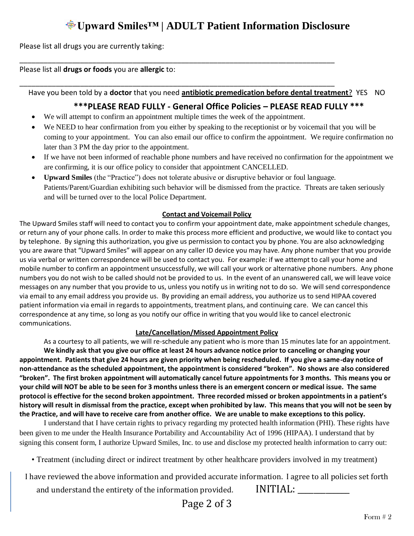## **Upward Smiles™ | ADULT Patient Information Disclosure**

Please list all drugs you are currently taking:

Please list all **drugs or foods** you are **allergic** to:

Have you been told by a **doctor** that you need **antibiotic premedication before dental treatment**? YES NO

#### **\*\*\*PLEASE READ FULLY - General Office Policies – PLEASE READ FULLY \*\*\***

We will attempt to confirm an appointment multiple times the week of the appointment.

\_\_\_\_\_\_\_\_\_\_\_\_\_\_\_\_\_\_\_\_\_\_\_\_\_\_\_\_\_\_\_\_\_\_\_\_\_\_\_\_\_\_\_\_\_\_\_\_\_\_\_\_\_\_\_\_\_\_\_\_\_\_\_\_\_\_\_\_\_\_\_\_\_\_\_\_\_\_

\_\_\_\_\_\_\_\_\_\_\_\_\_\_\_\_\_\_\_\_\_\_\_\_\_\_\_\_\_\_\_\_\_\_\_\_\_\_\_\_\_\_\_\_\_\_\_\_\_\_\_\_\_\_\_\_\_\_\_\_\_\_\_\_\_\_\_\_\_\_\_\_\_\_\_\_\_\_

- We NEED to hear confirmation from you either by speaking to the receptionist or by voicemail that you will be coming to your appointment. You can also email our office to confirm the appointment. We require confirmation no later than 3 PM the day prior to the appointment.
- If we have not been informed of reachable phone numbers and have received no confirmation for the appointment we are confirming, it is our office policy to consider that appointment CANCELLED.
- **Upward Smiles** (the "Practice") does not tolerate abusive or disruptive behavior or foul language. Patients/Parent/Guardian exhibiting such behavior will be dismissed from the practice. Threats are taken seriously and will be turned over to the local Police Department.

#### **Contact and Voicemail Policy**

The Upward Smiles staff will need to contact you to confirm your appointment date, make appointment schedule changes, or return any of your phone calls. In order to make this process more efficient and productive, we would like to contact you by telephone. By signing this authorization, you give us permission to contact you by phone. You are also acknowledging you are aware that "Upward Smiles" will appear on any caller ID device you may have. Any phone number that you provide us via verbal or written correspondence will be used to contact you. For example: if we attempt to call your home and mobile number to confirm an appointment unsuccessfully, we will call your work or alternative phone numbers. Any phone numbers you do not wish to be called should not be provided to us. In the event of an unanswered call, we will leave voice messages on any number that you provide to us, unless you notify us in writing not to do so. We will send correspondence via email to any email address you provide us. By providing an email address, you authorize us to send HIPAA covered patient information via email in regards to appointments, treatment plans, and continuing care. We can cancel this correspondence at any time, so long as you notify our office in writing that you would like to cancel electronic communications.

#### **Late/Cancellation/Missed Appointment Policy**

As a courtesy to all patients, we will re-schedule any patient who is more than 15 minutes late for an appointment. **We kindly ask that you give our office at least 24 hours advance notice prior to canceling or changing your appointment. Patients that give 24 hours are given priority when being rescheduled. If you give a same-day notice of non-attendance as the scheduled appointment, the appointment is considered "broken". No shows are also considered "broken". The first broken appointment will automatically cancel future appointments for 3 months. This means you or your child will NOT be able to be seen for 3 months unless there is an emergent concern or medical issue. The same protocol is effective for the second broken appointment. Three recorded missed or broken appointments in a patient's history will result in dismissal from the practice, except when prohibited by law. This means that you will not be seen by the Practice, and will have to receive care from another office. We are unable to make exceptions to this policy.**

I understand that I have certain rights to privacy regarding my protected health information (PHI). These rights have been given to me under the Health Insurance Portability and Accountability Act of 1996 (HIPAA). I understand that by signing this consent form, I authorize Upward Smiles, Inc. to use and disclose my protected health information to carry out:

• Treatment (including direct or indirect treatment by other healthcare providers involved in my treatment)

I have reviewed the above information and provided accurate information. I agree to all policies set forth

and understand the entirety of the information provided. INITIAL: \_\_\_\_\_\_\_\_\_\_\_\_\_\_

### Page 2 of 3